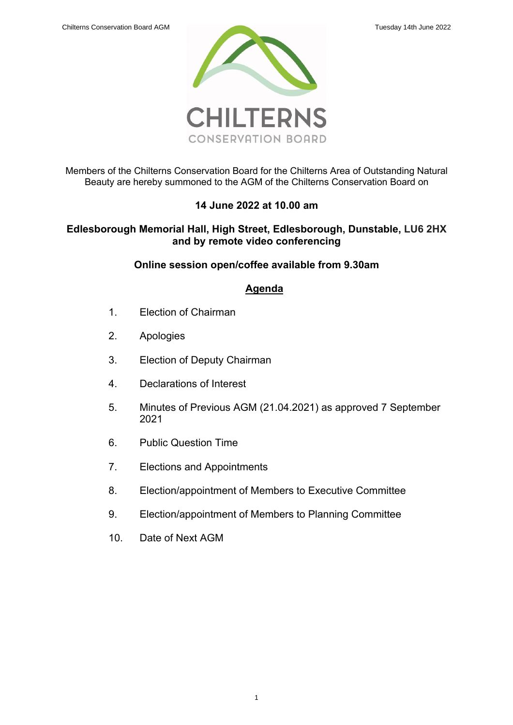

Members of the Chilterns Conservation Board for the Chilterns Area of Outstanding Natural Beauty are hereby summoned to the AGM of the Chilterns Conservation Board on

# **14 June 2022 at 10.00 am**

# **Edlesborough Memorial Hall, High Street, Edlesborough, Dunstable, LU6 2HX and by remote video conferencing**

# **Online session open/coffee available from 9.30am**

# **Agenda**

- 1. Election of Chairman
- 2. Apologies
- 3. Election of Deputy Chairman
- 4. Declarations of Interest
- 5. [Minutes of Previous AGM \(21.04.2021\)](#page-1-0) as approved 7 September 2021
- 6. Public Question Time
- 7. [Elections and Appointments](#page-5-0)
- 8. Election/appointment of Members to Executive Committee
- 9. Election/appointment of Members to Planning Committee
- 10. Date of Next AGM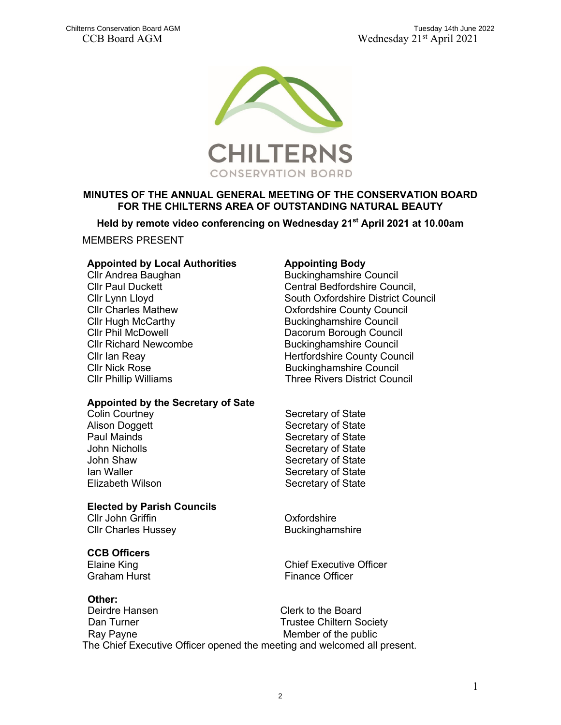

# <span id="page-1-0"></span>**MINUTES OF THE ANNUAL GENERAL MEETING OF THE CONSERVATION BOARD FOR THE CHILTERNS AREA OF OUTSTANDING NATURAL BEAUTY**

**Held by remote video conferencing on Wednesday 21st April 2021 at 10.00am**

MEMBERS PRESENT

#### **Appointed by Local Authorities Appointing Body**

Cllr Nick Rose Cllr Phillip Williams

## **Appointed by the Secretary of Sate**

Paul Mainds John Nicholls

## **Elected by Parish Councils**

Cllr John Griffin Cllr Charles Hussey

# **CCB Officers**

#### **Other:**

Deirdre Hansen Clerk to the Board Dan Turner Trustee Chiltern Society Ray Payne Member of the public The Chief Executive Officer opened the meeting and welcomed all present.

Cllr Andrea Baughan Buckinghamshire Council Cllr Paul Duckett Council, Central Bedfordshire Council, Cllr Lynn Lloyd South Oxfordshire District Council Cllr Charles Mathew Oxfordshire County Council Cllr Hugh McCarthy **Buckinghamshire Council**<br>Cllr Phil McDowell **Bucking Club Buckinghamshire Council** Dacorum Borough Council Cllr Richard Newcombe<br>Cllr Ian Reav **Buckinghamshire Council**<br>Hertfordshire County Coun Hertfordshire County Council Buckinghamshire Council Three Rivers District Council

Colin Courtney **Secretary of State** Alison Doggett Secretary of State Secretary of State Secretary of State John Shaw Secretary of State Ian Waller **Secretary of State** Elizabeth Wilson Secretary of State

> **Oxfordshire** Buckinghamshire

Elaine King **Chief Executive Officer** Graham Hurst **Finance Officer**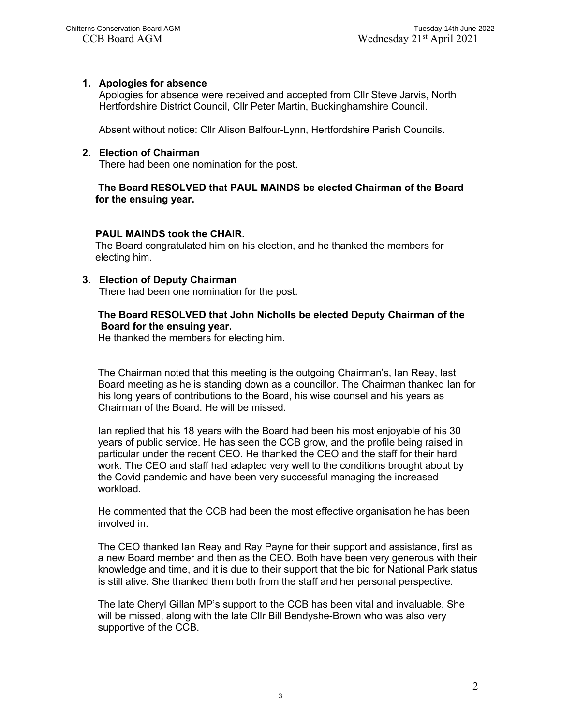## **1. Apologies for absence**

Apologies for absence were received and accepted from Cllr Steve Jarvis, North Hertfordshire District Council, Cllr Peter Martin, Buckinghamshire Council.

Absent without notice: Cllr Alison Balfour-Lynn, Hertfordshire Parish Councils.

## **2. Election of Chairman**

There had been one nomination for the post.

## **The Board RESOLVED that PAUL MAINDS be elected Chairman of the Board for the ensuing year.**

## **PAUL MAINDS took the CHAIR.**

The Board congratulated him on his election, and he thanked the members for electing him.

#### **3. Election of Deputy Chairman**

There had been one nomination for the post.

## **The Board RESOLVED that John Nicholls be elected Deputy Chairman of the Board for the ensuing year.**

He thanked the members for electing him.

The Chairman noted that this meeting is the outgoing Chairman's, Ian Reay, last Board meeting as he is standing down as a councillor. The Chairman thanked Ian for his long years of contributions to the Board, his wise counsel and his years as Chairman of the Board. He will be missed.

Ian replied that his 18 years with the Board had been his most enjoyable of his 30 years of public service. He has seen the CCB grow, and the profile being raised in particular under the recent CEO. He thanked the CEO and the staff for their hard work. The CEO and staff had adapted very well to the conditions brought about by the Covid pandemic and have been very successful managing the increased workload.

He commented that the CCB had been the most effective organisation he has been involved in.

The CEO thanked Ian Reay and Ray Payne for their support and assistance, first as a new Board member and then as the CEO. Both have been very generous with their knowledge and time, and it is due to their support that the bid for National Park status is still alive. She thanked them both from the staff and her personal perspective.

The late Cheryl Gillan MP's support to the CCB has been vital and invaluable. She will be missed, along with the late Cllr Bill Bendyshe-Brown who was also very supportive of the CCB.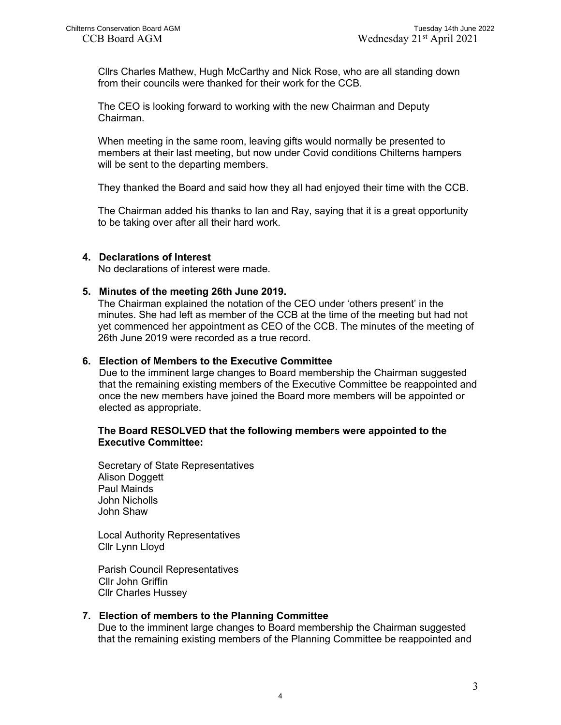Cllrs Charles Mathew, Hugh McCarthy and Nick Rose, who are all standing down from their councils were thanked for their work for the CCB.

The CEO is looking forward to working with the new Chairman and Deputy Chairman.

When meeting in the same room, leaving gifts would normally be presented to members at their last meeting, but now under Covid conditions Chilterns hampers will be sent to the departing members.

They thanked the Board and said how they all had enjoyed their time with the CCB.

The Chairman added his thanks to Ian and Ray, saying that it is a great opportunity to be taking over after all their hard work.

## **4. Declarations of Interest**

No declarations of interest were made.

## **5. Minutes of the meeting 26th June 2019.**

The Chairman explained the notation of the CEO under 'others present' in the minutes. She had left as member of the CCB at the time of the meeting but had not yet commenced her appointment as CEO of the CCB. The minutes of the meeting of 26th June 2019 were recorded as a true record.

## **6. Election of Members to the Executive Committee**

Due to the imminent large changes to Board membership the Chairman suggested that the remaining existing members of the Executive Committee be reappointed and once the new members have joined the Board more members will be appointed or elected as appropriate.

## **The Board RESOLVED that the following members were appointed to the Executive Committee:**

Secretary of State Representatives Alison Doggett Paul Mainds John Nicholls John Shaw

Local Authority Representatives Cllr Lynn Lloyd

Parish Council Representatives Cllr John Griffin Cllr Charles Hussey

## **7. Election of members to the Planning Committee**

Due to the imminent large changes to Board membership the Chairman suggested that the remaining existing members of the Planning Committee be reappointed and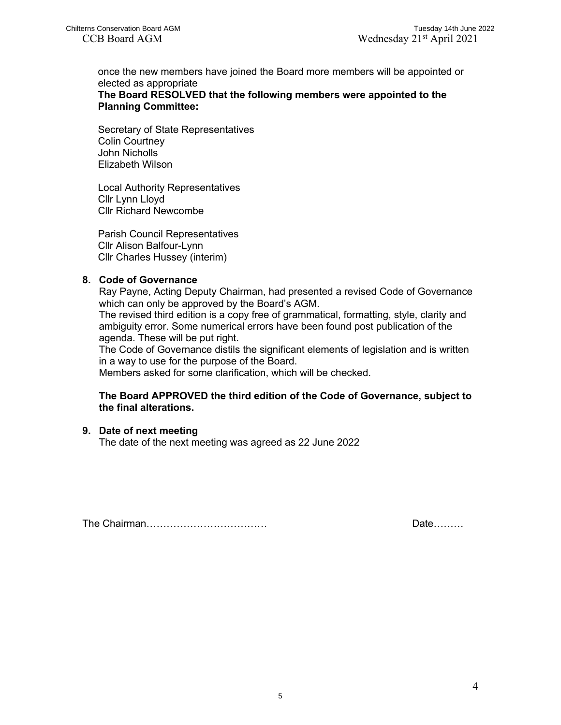once the new members have joined the Board more members will be appointed or elected as appropriate

**The Board RESOLVED that the following members were appointed to the Planning Committee:**

Secretary of State Representatives Colin Courtney John Nicholls Elizabeth Wilson

Local Authority Representatives Cllr Lynn Lloyd Cllr Richard Newcombe

Parish Council Representatives Cllr Alison Balfour-Lynn Cllr Charles Hussey (interim)

## **8. Code of Governance**

Ray Payne, Acting Deputy Chairman, had presented a revised Code of Governance which can only be approved by the Board's AGM.

The revised third edition is a copy free of grammatical, formatting, style, clarity and ambiguity error. Some numerical errors have been found post publication of the agenda. These will be put right.

The Code of Governance distils the significant elements of legislation and is written in a way to use for the purpose of the Board.

Members asked for some clarification, which will be checked.

## **The Board APPROVED the third edition of the Code of Governance, subject to the final alterations.**

## **9. Date of next meeting**

The date of the next meeting was agreed as 22 June 2022

The Chairman……………………………… Date………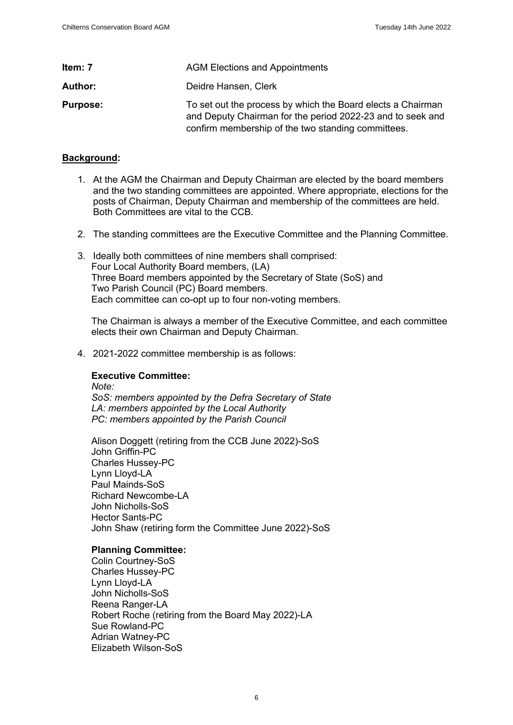<span id="page-5-0"></span>

| Item: 7         | <b>AGM Elections and Appointments</b>                                                                                                                                           |
|-----------------|---------------------------------------------------------------------------------------------------------------------------------------------------------------------------------|
| Author:         | Deidre Hansen, Clerk                                                                                                                                                            |
| <b>Purpose:</b> | To set out the process by which the Board elects a Chairman<br>and Deputy Chairman for the period 2022-23 and to seek and<br>confirm membership of the two standing committees. |

#### **Background:**

- 1. At the AGM the Chairman and Deputy Chairman are elected by the board members and the two standing committees are appointed. Where appropriate, elections for the posts of Chairman, Deputy Chairman and membership of the committees are held. Both Committees are vital to the CCB.
- 2. The standing committees are the Executive Committee and the Planning Committee.
- 3. Ideally both committees of nine members shall comprised: Four Local Authority Board members, (LA) Three Board members appointed by the Secretary of State (SoS) and Two Parish Council (PC) Board members. Each committee can co-opt up to four non-voting members.

The Chairman is always a member of the Executive Committee, and each committee elects their own Chairman and Deputy Chairman.

4. 2021-2022 committee membership is as follows:

## **Executive Committee:**

*Note: SoS: members appointed by the Defra Secretary of State LA: members appointed by the Local Authority PC: members appointed by the Parish Council*

Alison Doggett (retiring from the CCB June 2022)-SoS John Griffin-PC Charles Hussey-PC Lynn Lloyd-LA Paul Mainds-SoS Richard Newcombe-LA John Nicholls-SoS Hector Sants-PC John Shaw (retiring form the Committee June 2022)-SoS

#### **Planning Committee:**

Colin Courtney-SoS Charles Hussey-PC Lynn Lloyd-LA John Nicholls-SoS Reena Ranger-LA Robert Roche (retiring from the Board May 2022)-LA Sue Rowland-PC Adrian Watney-PC Elizabeth Wilson-SoS